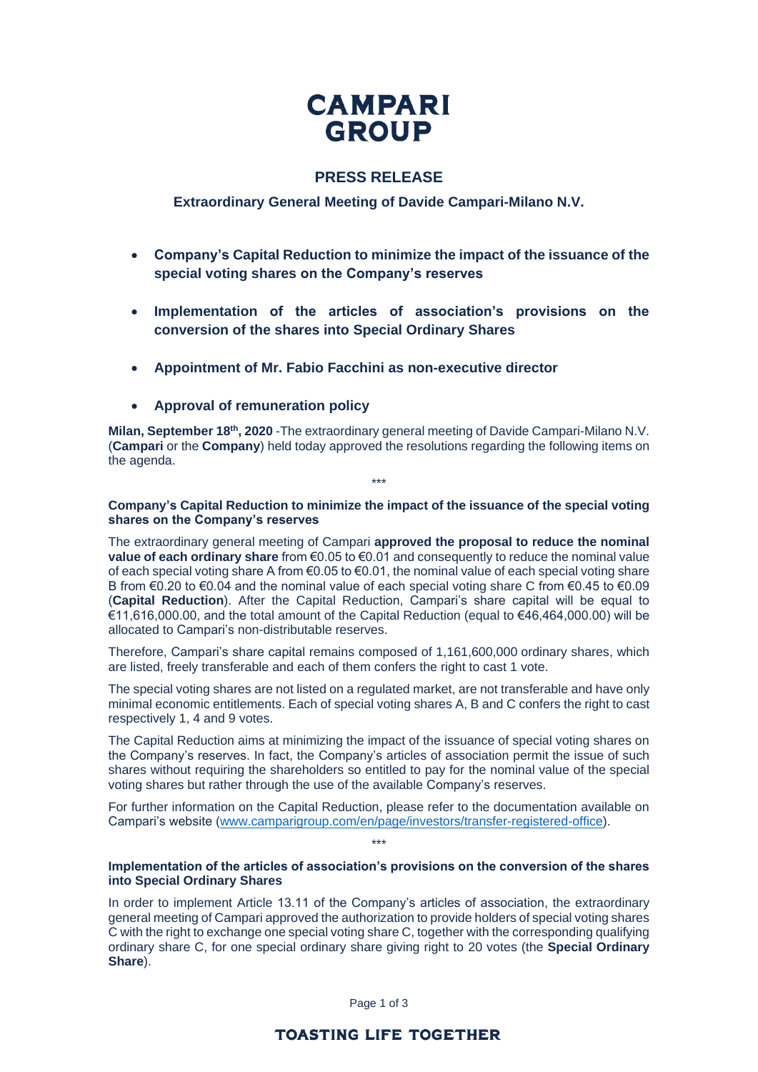# **CAMPARI GROUP**

# **PRESS RELEASE**

# **Extraordinary General Meeting of Davide Campari-Milano N.V.**

- **Company's Capital Reduction to minimize the impact of the issuance of the special voting shares on the Company's reserves**
- **Implementation of the articles of association's provisions on the conversion of the shares into Special Ordinary Shares**
- **Appointment of Mr. Fabio Facchini as non-executive director**
- **Approval of remuneration policy**

**Milan, September 18<sup>th</sup>, 2020** -The extraordinary general meeting of Davide Campari-Milano N.V. (**Campari** or the **Company**) held today approved the resolutions regarding the following items on the agenda.

### **Company's Capital Reduction to minimize the impact of the issuance of the special voting shares on the Company's reserves**

\*\*\*

The extraordinary general meeting of Campari **approved the proposal to reduce the nominal value of each ordinary share** from €0.05 to €0.01 and consequently to reduce the nominal value of each special voting share A from €0.05 to €0.01, the nominal value of each special voting share B from  $\epsilon$ 0.20 to  $\epsilon$ 0.04 and the nominal value of each special voting share C from  $\epsilon$ 0.45 to  $\epsilon$ 0.09 (**Capital Reduction**). After the Capital Reduction, Campari's share capital will be equal to €11,616,000.00, and the total amount of the Capital Reduction (equal to €46,464,000.00) will be allocated to Campari's non-distributable reserves.

Therefore, Campari's share capital remains composed of 1,161,600,000 ordinary shares, which are listed, freely transferable and each of them confers the right to cast 1 vote.

The special voting shares are not listed on a regulated market, are not transferable and have only minimal economic entitlements. Each of special voting shares A, B and C confers the right to cast respectively 1, 4 and 9 votes.

The Capital Reduction aims at minimizing the impact of the issuance of special voting shares on the Company's reserves. In fact, the Company's articles of association permit the issue of such shares without requiring the shareholders so entitled to pay for the nominal value of the special voting shares but rather through the use of the available Company's reserves.

For further information on the Capital Reduction, please refer to the documentation available on Campari's website [\(www.camparigroup.com/en/page/investors/transfer-registered-office\)](http://www.camparigroup.com/en/page/investors/transfer-registered-office).

\*\*\*

## **Implementation of the articles of association's provisions on the conversion of the shares into Special Ordinary Shares**

In order to implement Article 13.11 of the Company's articles of association, the extraordinary general meeting of Campari approved the authorization to provide holders of special voting shares C with the right to exchange one special voting share C, together with the corresponding qualifying ordinary share C, for one special ordinary share giving right to 20 votes (the **Special Ordinary Share**).

Page 1 of 3

# **TOASTING LIFE TOGETHER**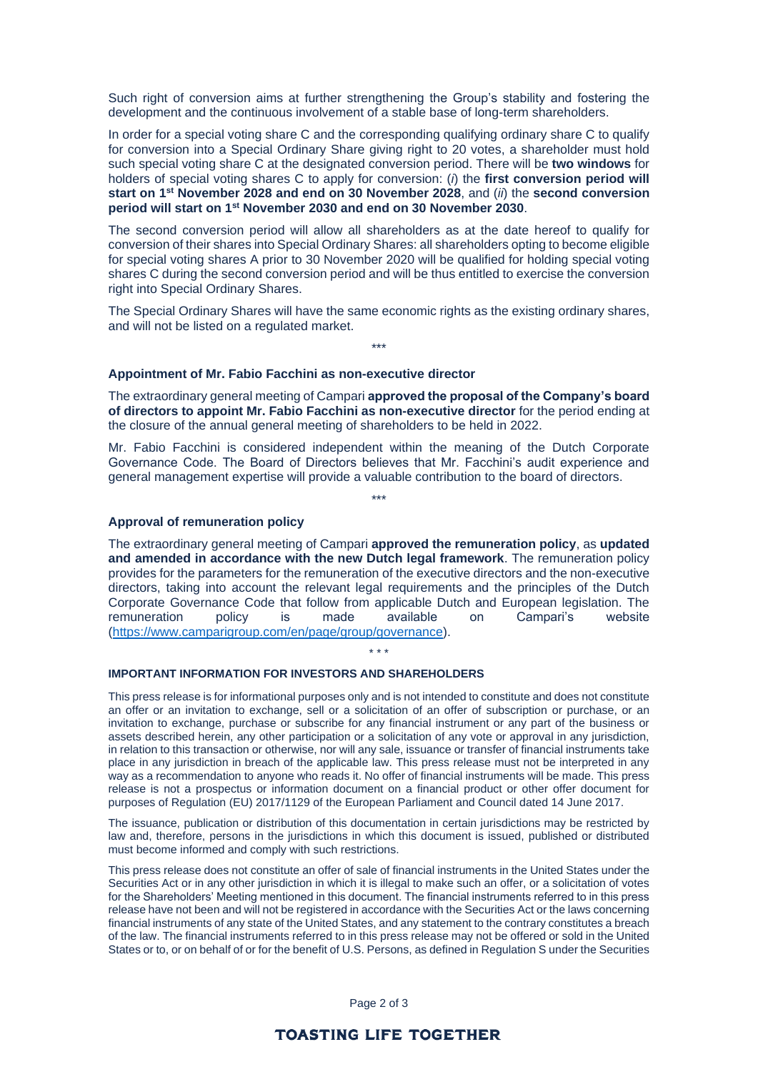Such right of conversion aims at further strengthening the Group's stability and fostering the development and the continuous involvement of a stable base of long-term shareholders.

In order for a special voting share C and the corresponding qualifying ordinary share C to qualify for conversion into a Special Ordinary Share giving right to 20 votes, a shareholder must hold such special voting share C at the designated conversion period. There will be **two windows** for holders of special voting shares C to apply for conversion: (*i*) the **first conversion period will start on 1st November 2028 and end on 30 November 2028**, and (*ii*) the **second conversion period will start on 1st November 2030 and end on 30 November 2030**.

The second conversion period will allow all shareholders as at the date hereof to qualify for conversion of their shares into Special Ordinary Shares: all shareholders opting to become eligible for special voting shares A prior to 30 November 2020 will be qualified for holding special voting shares C during the second conversion period and will be thus entitled to exercise the conversion right into Special Ordinary Shares.

The Special Ordinary Shares will have the same economic rights as the existing ordinary shares, and will not be listed on a regulated market. \*\*\*

#### **Appointment of Mr. Fabio Facchini as non-executive director**

The extraordinary general meeting of Campari **approved the proposal of the Company's board of directors to appoint Mr. Fabio Facchini as non-executive director** for the period ending at the closure of the annual general meeting of shareholders to be held in 2022.

Mr. Fabio Facchini is considered independent within the meaning of the Dutch Corporate Governance Code. The Board of Directors believes that Mr. Facchini's audit experience and general management expertise will provide a valuable contribution to the board of directors.

\*\*\*

#### **Approval of remuneration policy**

The extraordinary general meeting of Campari **approved the remuneration policy**, as **updated and amended in accordance with the new Dutch legal framework**. The remuneration policy provides for the parameters for the remuneration of the executive directors and the non-executive directors, taking into account the relevant legal requirements and the principles of the Dutch Corporate Governance Code that follow from applicable Dutch and European legislation. The remuneration policy is made available on Campari's website [\(https://www.camparigroup.com/en/page/group/governance\)](https://www.camparigroup.com/en/page/group/governance).

\* \* \*

#### **IMPORTANT INFORMATION FOR INVESTORS AND SHAREHOLDERS**

This press release is for informational purposes only and is not intended to constitute and does not constitute an offer or an invitation to exchange, sell or a solicitation of an offer of subscription or purchase, or an invitation to exchange, purchase or subscribe for any financial instrument or any part of the business or assets described herein, any other participation or a solicitation of any vote or approval in any jurisdiction, in relation to this transaction or otherwise, nor will any sale, issuance or transfer of financial instruments take place in any jurisdiction in breach of the applicable law. This press release must not be interpreted in any way as a recommendation to anyone who reads it. No offer of financial instruments will be made. This press release is not a prospectus or information document on a financial product or other offer document for purposes of Regulation (EU) 2017/1129 of the European Parliament and Council dated 14 June 2017.

The issuance, publication or distribution of this documentation in certain jurisdictions may be restricted by law and, therefore, persons in the jurisdictions in which this document is issued, published or distributed must become informed and comply with such restrictions.

This press release does not constitute an offer of sale of financial instruments in the United States under the Securities Act or in any other jurisdiction in which it is illegal to make such an offer, or a solicitation of votes for the Shareholders' Meeting mentioned in this document. The financial instruments referred to in this press release have not been and will not be registered in accordance with the Securities Act or the laws concerning financial instruments of any state of the United States, and any statement to the contrary constitutes a breach of the law. The financial instruments referred to in this press release may not be offered or sold in the United States or to, or on behalf of or for the benefit of U.S. Persons, as defined in Regulation S under the Securities

Page 2 of 3

## **TOASTING LIFE TOGETHER**